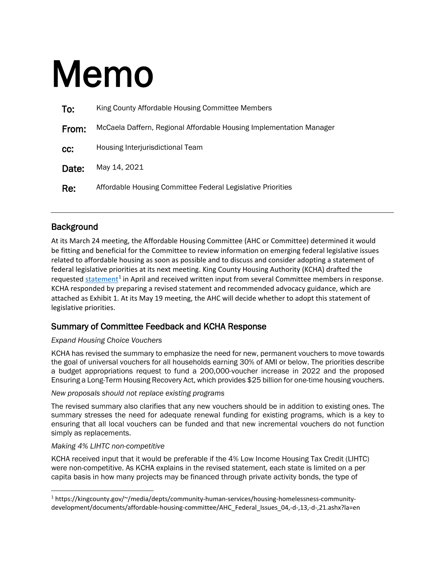# Memo

| To:   | King County Affordable Housing Committee Members                    |
|-------|---------------------------------------------------------------------|
| From: | McCaela Daffern, Regional Affordable Housing Implementation Manager |
| CC:   | Housing Interjurisdictional Team                                    |
| Date: | May 14, 2021                                                        |
| Re:   | Affordable Housing Committee Federal Legislative Priorities         |

# **Background**

At its March 24 meeting, the Affordable Housing Committee (AHC or Committee) determined it would be fitting and beneficial for the Committee to review information on emerging federal legislative issues related to affordable housing as soon as possible and to discuss and consider adopting a statement of federal legislative priorities at its next meeting. King County Housing Authority (KCHA) drafted the requested [statement](https://kingcounty.gov/%7E/media/depts/community-human-services/housing-homelessness-community-development/documents/affordable-housing-committee/AHC_Federal_Issues_04,-d-,13,-d-,21.ashx?la=en)<sup>[1](#page-0-0)</sup> in April and received written input from several Committee members in response. KCHA responded by preparing a revised statement and recommended advocacy guidance, which are attached as Exhibit 1. At its May 19 meeting, the AHC will decide whether to adopt this statement of legislative priorities.

## Summary of Committee Feedback and KCHA Response

### *Expand Housing Choice Vouchers*

KCHA has revised the summary to emphasize the need for new, permanent vouchers to move towards the goal of universal vouchers for all households earning 30% of AMI or below. The priorities describe a budget appropriations request to fund a 200,000-voucher increase in 2022 and the proposed Ensuring a Long-Term Housing Recovery Act, which provides \$25 billion for one-time housing vouchers.

### *New proposals should not replace existing programs*

The revised summary also clarifies that any new vouchers should be in addition to existing ones. The summary stresses the need for adequate renewal funding for existing programs, which is a key to ensuring that all local vouchers can be funded and that new incremental vouchers do not function simply as replacements.

### *Making 4% LIHTC non-competitive*

 $\overline{a}$ 

KCHA received input that it would be preferable if the 4% Low Income Housing Tax Credit (LIHTC) were non-competitive. As KCHA explains in the revised statement, each state is limited on a per capita basis in how many projects may be financed through private activity bonds, the type of

<span id="page-0-0"></span><sup>1</sup> https://kingcounty.gov/~/media/depts/community-human-services/housing-homelessness-communitydevelopment/documents/affordable-housing-committee/AHC\_Federal\_Issues\_04,-d-,13,-d-,21.ashx?la=en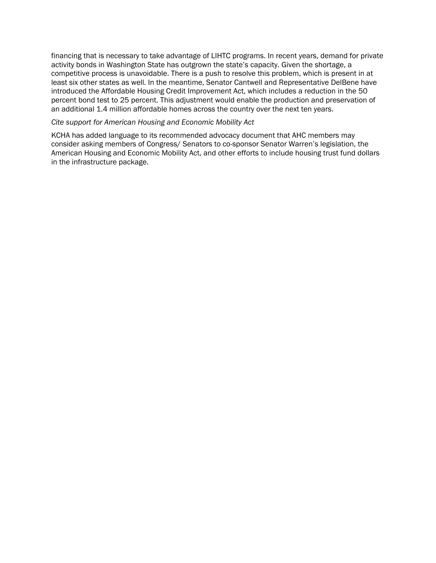financing that is necessary to take advantage of LIHTC programs. In recent years, demand for private activity bonds in Washington State has outgrown the state's capacity. Given the shortage, a competitive process is unavoidable. There is a push to resolve this problem, which is present in at least six other states as well. In the meantime, Senator Cantwell and Representative DelBene have introduced the Affordable Housing Credit Improvement Act, which includes a reduction in the 50 percent bond test to 25 percent. This adjustment would enable the production and preservation of an additional 1.4 million affordable homes across the country over the next ten years.

#### *Cite support for American Housing and Economic Mobility Act*

KCHA has added language to its recommended advocacy document that AHC members may consider asking members of Congress/ Senators to co-sponsor Senator Warren's legislation, the American Housing and Economic Mobility Act, and other efforts to include housing trust fund dollars in the infrastructure package.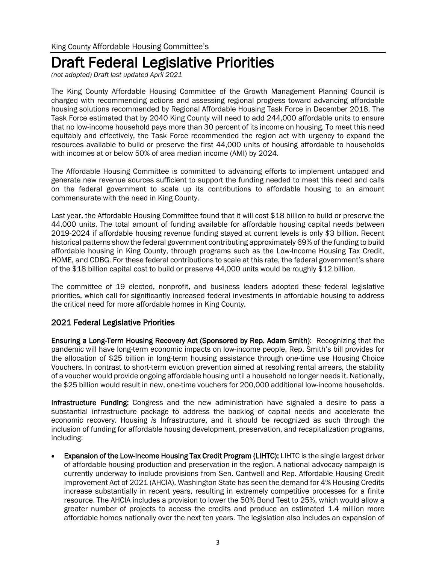# Draft Federal Legislative Priorities

*(not adopted) Draft last updated April 2021*

The King County Affordable Housing Committee of the Growth Management Planning Council is charged with recommending actions and assessing regional progress toward advancing affordable housing solutions recommended by Regional Affordable Housing Task Force in December 2018. The Task Force estimated that by 2040 King County will need to add 244,000 affordable units to ensure that no low-income household pays more than 30 percent of its income on housing. To meet this need equitably and effectively, the Task Force recommended the region act with urgency to expand the resources available to build or preserve the first 44,000 units of housing affordable to households with incomes at or below 50% of area median income (AMI) by 2024.

The Affordable Housing Committee is committed to advancing efforts to implement untapped and generate new revenue sources sufficient to support the funding needed to meet this need and calls on the federal government to scale up its contributions to affordable housing to an amount commensurate with the need in King County.

Last year, the Affordable Housing Committee found that it will cost \$18 billion to build or preserve the 44,000 units. The total amount of funding available for affordable housing capital needs between 2019-2024 if affordable housing revenue funding stayed at current levels is only \$3 billion. Recent historical patterns show the federal government contributing approximately 69% of the funding to build affordable housing in King County, through programs such as the Low-Income Housing Tax Credit, HOME, and CDBG. For these federal contributions to scale at this rate, the federal government's share of the \$18 billion capital cost to build or preserve 44,000 units would be roughly \$12 billion.

The committee of 19 elected, nonprofit, and business leaders adopted these federal legislative priorities, which call for significantly increased federal investments in affordable housing to address the critical need for more affordable homes in King County.

## 2021 Federal Legislative Priorities

**Ensuring a Long-Term Housing Recovery Act (Sponsored by Rep. Adam Smith):** Recognizing that the pandemic will have long-term economic impacts on low-income people, Rep. Smith's bill provides for the allocation of \$25 billion in long-term housing assistance through one-time use Housing Choice Vouchers. In contrast to short-term eviction prevention aimed at resolving rental arrears, the stability of a voucher would provide ongoing affordable housing until a household no longer needs it. Nationally, the \$25 billion would result in new, one-time vouchers for 200,000 additional low-income households.

Infrastructure Funding: Congress and the new administration have signaled a desire to pass a substantial infrastructure package to address the backlog of capital needs and accelerate the economic recovery. Housing *is* Infrastructure, and it should be recognized as such through the inclusion of funding for affordable housing development, preservation, and recapitalization programs, including:

• Expansion of the Low-Income Housing Tax Credit Program (LIHTC): LIHTC is the single largest driver of affordable housing production and preservation in the region. A national advocacy campaign is currently underway to include provisions from Sen. Cantwell and Rep. Affordable Housing Credit Improvement Act of 2021 (AHCIA). Washington State has seen the demand for 4% Housing Credits increase substantially in recent years, resulting in extremely competitive processes for a finite resource. The AHCIA includes a provision to lower the 50% Bond Test to 25%, which would allow a greater number of projects to access the credits and produce an estimated 1.4 million more affordable homes nationally over the next ten years. The legislation also includes an expansion of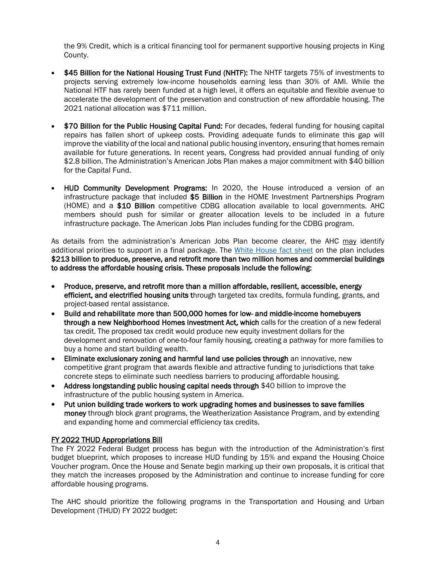the 9% Credit, which is a critical financing tool for permanent supportive housing projects in King County.

- \$45 Billion for the National Housing Trust Fund (NHTF): The NHTF targets 75% of investments to projects serving extremely low-income households earning less than 30% of AMI. While the National HTF has rarely been funded at a high level, it offers an equitable and flexible avenue to accelerate the development of the preservation and construction of new affordable housing. The 2021 national allocation was \$711 million.
- \$70 Billion for the Public Housing Capital Fund: For decades, federal funding for housing capital repairs has fallen short of upkeep costs. Providing adequate funds to eliminate this gap will improve the viability of the local and national public housing inventory, ensuring that homes remain available for future generations. In recent years, Congress had provided annual funding of only \$2.8 billion. The Administration's American Jobs Plan makes a major commitment with \$40 billion for the Capital Fund.
- HUD Community Development Programs: In 2020, the House introduced a version of an infrastructure package that included \$5 Billion in the HOME Investment Partnerships Program (HOME) and a \$10 Billion competitive CDBG allocation available to local governments. AHC members should push for similar or greater allocation levels to be included in a future infrastructure package. The American Jobs Plan includes funding for the CDBG program.

As details from the administration's American Jobs Plan become clearer, the AHC may identify additional priorities to support in a final package. The [White House fact sheet](https://www.whitehouse.gov/briefing-room/statements-releases/2021/03/31/fact-sheet-the-american-jobs-plan/?utm_source=NLIHC+All+Subscribers&utm_campaign=a07780d36a-CTA_033121&utm_medium=email&utm_term=0_e090383b5e-a07780d36a-291838681&ct=t(CTA_033121)) on the plan includes \$213 billion to produce, preserve, and retrofit more than two million homes and commercial buildings to address the affordable housing crisis. These proposals include the following:

- Produce, preserve, and retrofit more than a million affordable, resilient, accessible, energy efficient, and electrified housing units through targeted tax credits, formula funding, grants, and project-based rental assistance.
- Build and rehabilitate more than 500,000 homes for low- and middle-income homebuyers through a new Neighborhood Homes Investment Act, which calls for the creation of a new federal tax credit. The proposed tax credit would produce new equity investment dollars for the development and renovation of one-to-four family housing, creating a pathway for more families to buy a home and start building wealth.
- Eliminate exclusionary zoning and harmful land use policies through an innovative, new competitive grant program that awards flexible and attractive funding to jurisdictions that take concrete steps to eliminate such needless barriers to producing affordable housing.
- Address longstanding public housing capital needs through \$40 billion to improve the infrastructure of the public housing system in America.
- Put union building trade workers to work upgrading homes and businesses to save families money through block grant programs, the Weatherization Assistance Program, and by extending and expanding home and commercial efficiency tax credits.

### FY 2022 THUD Appropriations Bill

The FY 2022 Federal Budget process has begun with the introduction of the Administration's first budget blueprint, which proposes to increase HUD funding by 15% and expand the Housing Choice Voucher program. Once the House and Senate begin marking up their own proposals, it is critical that they match the increases proposed by the Administration and continue to increase funding for core affordable housing programs.

The AHC should prioritize the following programs in the Transportation and Housing and Urban Development (THUD) FY 2022 budget: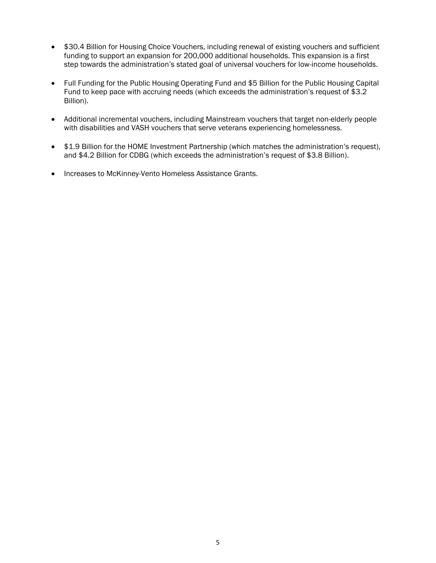- \$30.4 Billion for Housing Choice Vouchers, including renewal of existing vouchers and sufficient funding to support an expansion for 200,000 additional households. This expansion is a first step towards the administration's stated goal of universal vouchers for low-income households.
- Full Funding for the Public Housing Operating Fund and \$5 Billion for the Public Housing Capital Fund to keep pace with accruing needs (which exceeds the administration's request of \$3.2 Billion).
- Additional incremental vouchers, including Mainstream vouchers that target non-elderly people with disabilities and VASH vouchers that serve veterans experiencing homelessness.
- \$1.9 Billion for the HOME Investment Partnership (which matches the administration's request), and \$4.2 Billion for CDBG (which exceeds the administration's request of \$3.8 Billion).
- Increases to McKinney-Vento Homeless Assistance Grants.